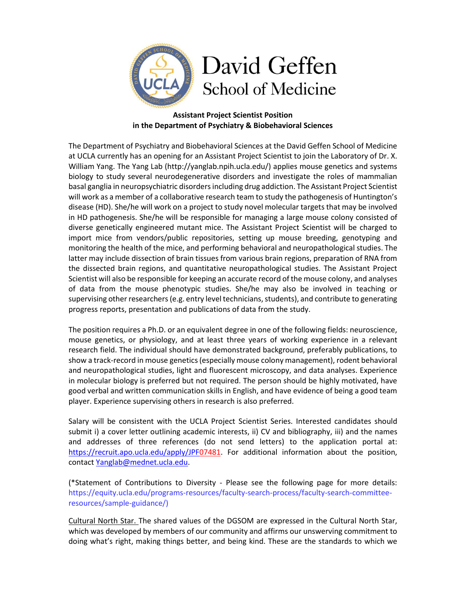

## **Assistant Project Scientist Position in the Department of Psychiatry & Biobehavioral Sciences**

The Department of Psychiatry and Biobehavioral Sciences at the David Geffen School of Medicine at UCLA currently has an opening for an Assistant Project Scientist to join the Laboratory of Dr. X. William Yang. The Yang Lab (http://yanglab.npih.ucla.edu/) applies mouse genetics and systems biology to study several neurodegenerative disorders and investigate the roles of mammalian basal ganglia in neuropsychiatric disorders including drug addiction. The Assistant Project Scientist will work as a member of a collaborative research team to study the pathogenesis of Huntington's disease (HD). She/he will work on a project to study novel molecular targets that may be involved in HD pathogenesis. She/he will be responsible for managing a large mouse colony consisted of diverse genetically engineered mutant mice. The Assistant Project Scientist will be charged to import mice from vendors/public repositories, setting up mouse breeding, genotyping and monitoring the health of the mice, and performing behavioral and neuropathological studies. The latter may include dissection of brain tissues from various brain regions, preparation of RNA from the dissected brain regions, and quantitative neuropathological studies. The Assistant Project Scientist will also be responsible for keeping an accurate record of the mouse colony, and analyses of data from the mouse phenotypic studies. She/he may also be involved in teaching or supervising other researchers (e.g. entry level technicians, students), and contribute to generating progress reports, presentation and publications of data from the study.

The position requires a Ph.D. or an equivalent degree in one of the following fields: neuroscience, mouse genetics, or physiology, and at least three years of working experience in a relevant research field. The individual should have demonstrated background, preferably publications, to show a track-record in mouse genetics (especially mouse colony management), rodent behavioral and neuropathological studies, light and fluorescent microscopy, and data analyses. Experience in molecular biology is preferred but not required. The person should be highly motivated, have good verbal and written communication skills in English, and have evidence of being a good team player. Experience supervising others in research is also preferred.

Salary will be consistent with the UCLA Project Scientist Series. Interested candidates should submit i) a cover letter outlining academic interests, ii) CV and bibliography, iii) and the names and addresses of three references (do not send letters) to the application portal at: [https://recruit.apo.ucla.edu/apply/JPF0](https://recruit.apo.ucla.edu/apply/JPF)7481. For additional information about the position, contact [Yanglab@mednet.ucla.edu.](mailto:Yanglab@mednet.ucla.edu)

(\*Statement of Contributions to Diversity - Please see the following page for more details: https://equity.ucla.edu/programs-resources/faculty-search-process/faculty-search-committeeresources/sample-guidance/)

Cultural North Star. The shared values of the DGSOM are expressed in the Cultural North Star, which was developed by members of our community and affirms our unswerving commitment to doing what's right, making things better, and being kind. These are the standards to which we